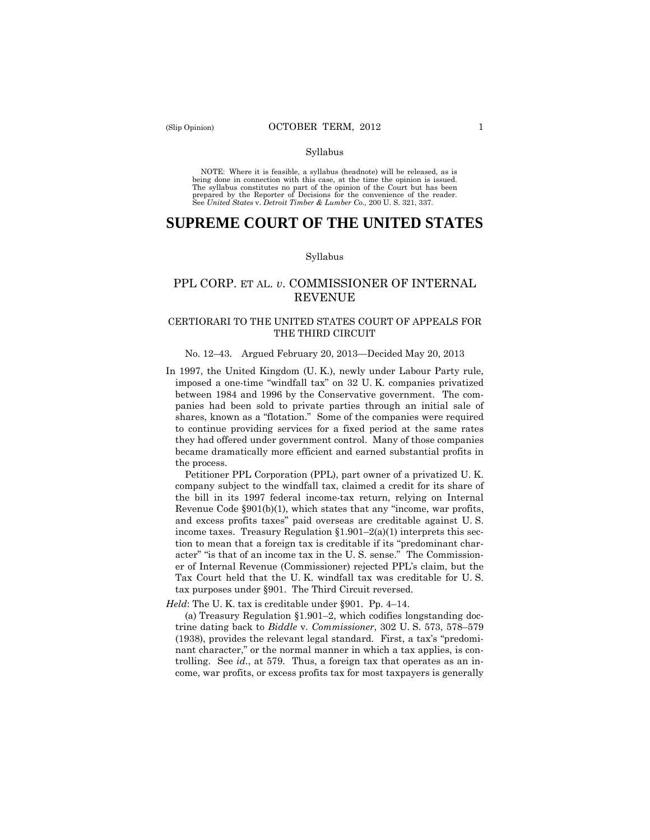#### Syllabus

 NOTE: Where it is feasible, a syllabus (headnote) will be released, as is being done in connection with this case, at the time the opinion is issued. The syllabus constitutes no part of the opinion of the Court but has been<br>prepared by the Reporter of Decisions for the convenience of the reader.<br>See United States v. Detroit Timber & Lumber Co., 200 U.S. 321, 337.

# **SUPREME COURT OF THE UNITED STATES**

#### Syllabus

## PPL CORP. ET AL. *v*. COMMISSIONER OF INTERNAL REVENUE

## CERTIORARI TO THE UNITED STATES COURT OF APPEALS FOR THE THIRD CIRCUIT

### No. 12–43. Argued February 20, 2013—Decided May 20, 2013

In 1997, the United Kingdom (U. K.), newly under Labour Party rule, imposed a one-time "windfall tax" on 32 U. K. companies privatized between 1984 and 1996 by the Conservative government. The companies had been sold to private parties through an initial sale of shares, known as a "flotation." Some of the companies were required to continue providing services for a fixed period at the same rates they had offered under government control. Many of those companies became dramatically more efficient and earned substantial profits in the process.

Petitioner PPL Corporation (PPL), part owner of a privatized U. K. company subject to the windfall tax, claimed a credit for its share of the bill in its 1997 federal income-tax return, relying on Internal Revenue Code §901(b)(1), which states that any "income, war profits, and excess profits taxes" paid overseas are creditable against U. S. income taxes. Treasury Regulation  $$1.901-2(a)(1)$  interprets this section to mean that a foreign tax is creditable if its "predominant character" "is that of an income tax in the U. S. sense." The Commissioner of Internal Revenue (Commissioner) rejected PPL's claim, but the Tax Court held that the U. K. windfall tax was creditable for U. S. tax purposes under §901. The Third Circuit reversed.

*Held*: The U. K. tax is creditable under §901. Pp. 4–14.

(a) Treasury Regulation §1.901–2, which codifies longstanding doctrine dating back to *Biddle* v. *Commissioner*, 302 U. S. 573, 578–579 (1938), provides the relevant legal standard. First, a tax's "predominant character," or the normal manner in which a tax applies, is controlling. See *id.*, at 579. Thus, a foreign tax that operates as an income, war profits, or excess profits tax for most taxpayers is generally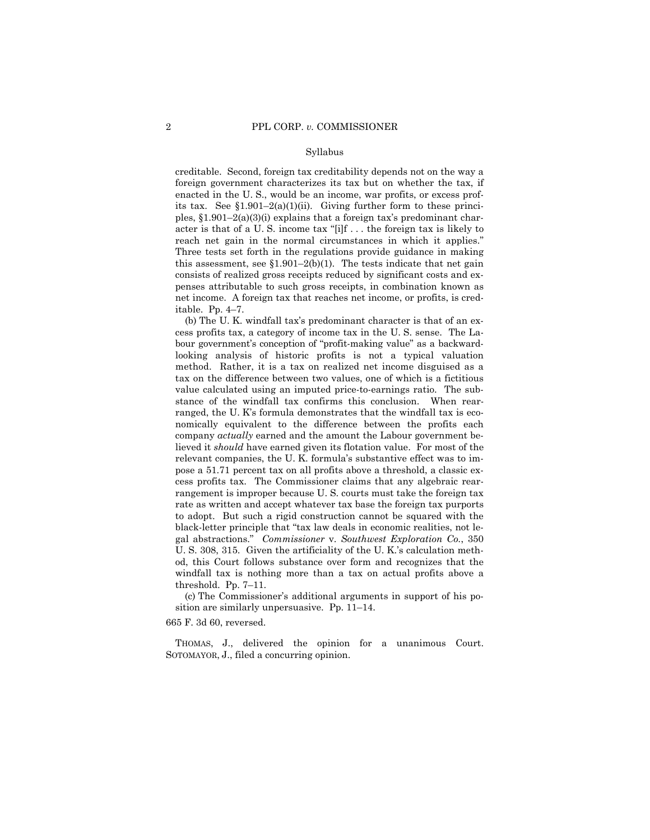#### Syllabus

creditable. Second, foreign tax creditability depends not on the way a foreign government characterizes its tax but on whether the tax, if enacted in the U. S., would be an income, war profits, or excess profits tax. See  $$1.901-2(a)(1)(ii)$ . Giving further form to these principles,  $\S1.901-2(a)(3)(i)$  explains that a foreign tax's predominant character is that of a U. S. income tax "[i]f . . . the foreign tax is likely to reach net gain in the normal circumstances in which it applies." Three tests set forth in the regulations provide guidance in making this assessment, see  $$1.901-2(b)(1)$ . The tests indicate that net gain consists of realized gross receipts reduced by significant costs and expenses attributable to such gross receipts, in combination known as net income. A foreign tax that reaches net income, or profits, is creditable. Pp. 4–7.

 tax on the difference between two values, one of which is a fictitious (b) The U. K. windfall tax's predominant character is that of an excess profits tax, a category of income tax in the U. S. sense. The Labour government's conception of "profit-making value" as a backwardlooking analysis of historic profits is not a typical valuation method. Rather, it is a tax on realized net income disguised as a value calculated using an imputed price-to-earnings ratio. The substance of the windfall tax confirms this conclusion. When rearranged, the U. K's formula demonstrates that the windfall tax is economically equivalent to the difference between the profits each company *actually* earned and the amount the Labour government believed it *should* have earned given its flotation value. For most of the relevant companies, the U. K. formula's substantive effect was to impose a 51.71 percent tax on all profits above a threshold, a classic excess profits tax. The Commissioner claims that any algebraic rearrangement is improper because U. S. courts must take the foreign tax rate as written and accept whatever tax base the foreign tax purports to adopt. But such a rigid construction cannot be squared with the black-letter principle that "tax law deals in economic realities, not legal abstractions." *Commissioner* v. *Southwest Exploration Co.*, 350 U. S. 308, 315. Given the artificiality of the U. K.'s calculation method, this Court follows substance over form and recognizes that the windfall tax is nothing more than a tax on actual profits above a threshold. Pp. 7–11.

(c) The Commissioner's additional arguments in support of his position are similarly unpersuasive. Pp. 11–14.

665 F. 3d 60, reversed.

THOMAS, J., delivered the opinion for a unanimous Court. SOTOMAYOR, J., filed a concurring opinion.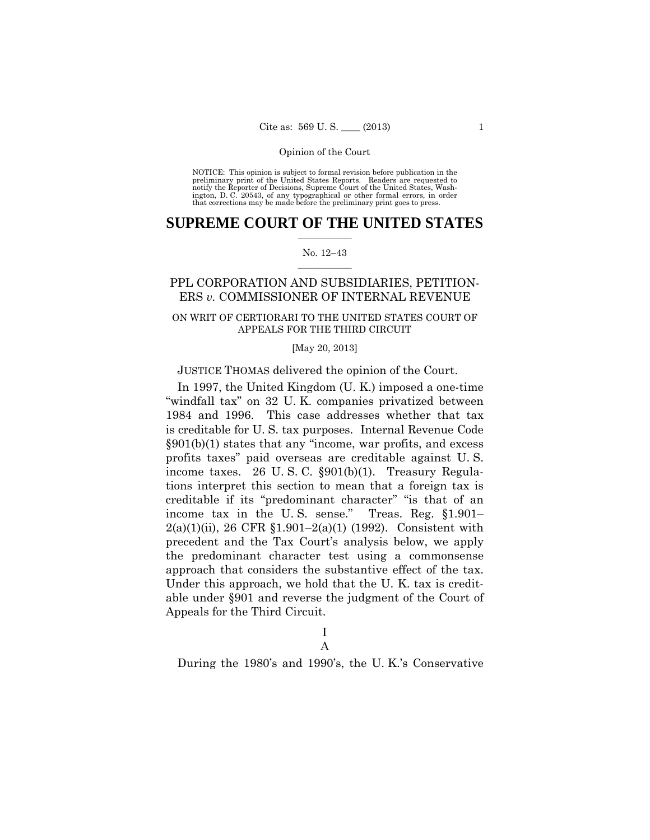preliminary print of the United States Reports. Readers are requested to notify the Reporter of Decisions, Supreme Court of the United States, Wash- ington, D. C. 20543, of any typographical or other formal errors, in order that corrections may be made before the preliminary print goes to press. NOTICE: This opinion is subject to formal revision before publication in the

## $\frac{1}{2}$  ,  $\frac{1}{2}$  ,  $\frac{1}{2}$  ,  $\frac{1}{2}$  ,  $\frac{1}{2}$  ,  $\frac{1}{2}$  ,  $\frac{1}{2}$ **SUPREME COURT OF THE UNITED STATES**

### $\frac{1}{2}$  ,  $\frac{1}{2}$  ,  $\frac{1}{2}$  ,  $\frac{1}{2}$  ,  $\frac{1}{2}$  ,  $\frac{1}{2}$ No. 12–43

## PPL CORPORATION AND SUBSIDIARIES, PETITION-ERS *v.* COMMISSIONER OF INTERNAL REVENUE

## ON WRIT OF CERTIORARI TO THE UNITED STATES COURT OF APPEALS FOR THE THIRD CIRCUIT

### [May 20, 2013]

## JUSTICE THOMAS delivered the opinion of the Court.

In 1997, the United Kingdom (U. K.) imposed a one-time "windfall tax" on 32 U. K. companies privatized between 1984 and 1996. This case addresses whether that tax is creditable for U. S. tax purposes. Internal Revenue Code §901(b)(1) states that any "income, war profits, and excess profits taxes" paid overseas are creditable against U. S. income taxes. 26 U. S. C. §901(b)(1). Treasury Regulations interpret this section to mean that a foreign tax is creditable if its "predominant character" "is that of an income tax in the U. S. sense." Treas. Reg. §1.901– 2(a)(1)(ii), 26 CFR §1.901–2(a)(1) (1992). Consistent with precedent and the Tax Court's analysis below, we apply the predominant character test using a commonsense approach that considers the substantive effect of the tax. Under this approach, we hold that the U. K. tax is creditable under §901 and reverse the judgment of the Court of Appeals for the Third Circuit.

## I A

During the 1980's and 1990's, the U. K.'s Conservative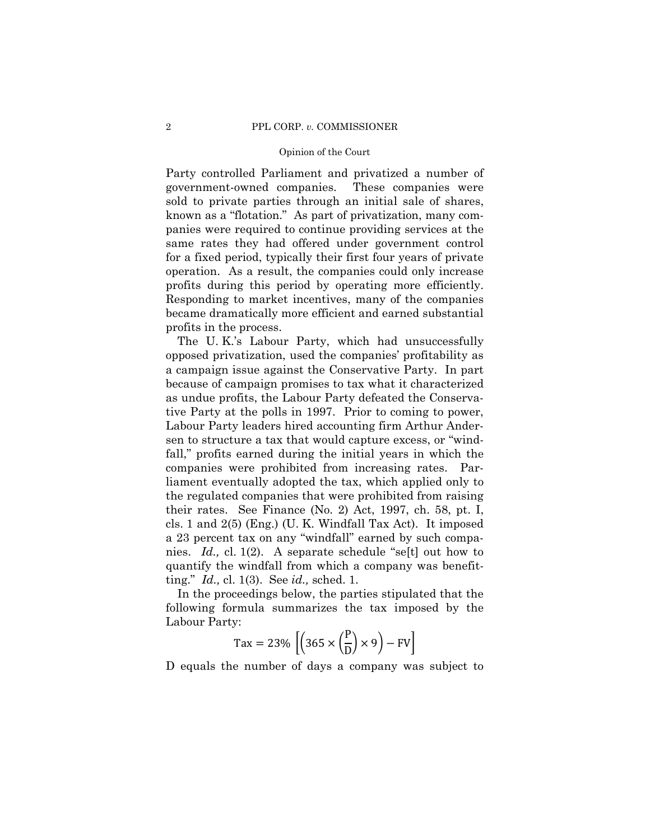known as a "flotation." As part of privatization, many com-Party controlled Parliament and privatized a number of government-owned companies. These companies were sold to private parties through an initial sale of shares, panies were required to continue providing services at the same rates they had offered under government control for a fixed period, typically their first four years of private operation. As a result, the companies could only increase profits during this period by operating more efficiently. Responding to market incentives, many of the companies became dramatically more efficient and earned substantial profits in the process.

The U. K.'s Labour Party, which had unsuccessfully opposed privatization, used the companies' profitability as a campaign issue against the Conservative Party. In part because of campaign promises to tax what it characterized as undue profits, the Labour Party defeated the Conservative Party at the polls in 1997. Prior to coming to power, Labour Party leaders hired accounting firm Arthur Andersen to structure a tax that would capture excess, or "windfall," profits earned during the initial years in which the companies were prohibited from increasing rates. Parliament eventually adopted the tax, which applied only to the regulated companies that were prohibited from raising their rates. See Finance (No. 2) Act, 1997, ch. 58, pt. I, cls. 1 and 2(5) (Eng.) (U. K. Windfall Tax Act). It imposed a 23 percent tax on any "windfall" earned by such companies. *Id.,* cl. 1(2). A separate schedule "se[t] out how to quantify the windfall from which a company was benefitting." *Id.,* cl. 1(3). See *id.,* sched. 1.

In the proceedings below, the parties stipulated that the following formula summarizes the tax imposed by the Labour Party:

$$
\text{Tax} = 23\% \left[ \left( 365 \times \left( \frac{P}{D} \right) \times 9 \right) - \text{FV} \right]
$$

D equals the number of days a company was subject to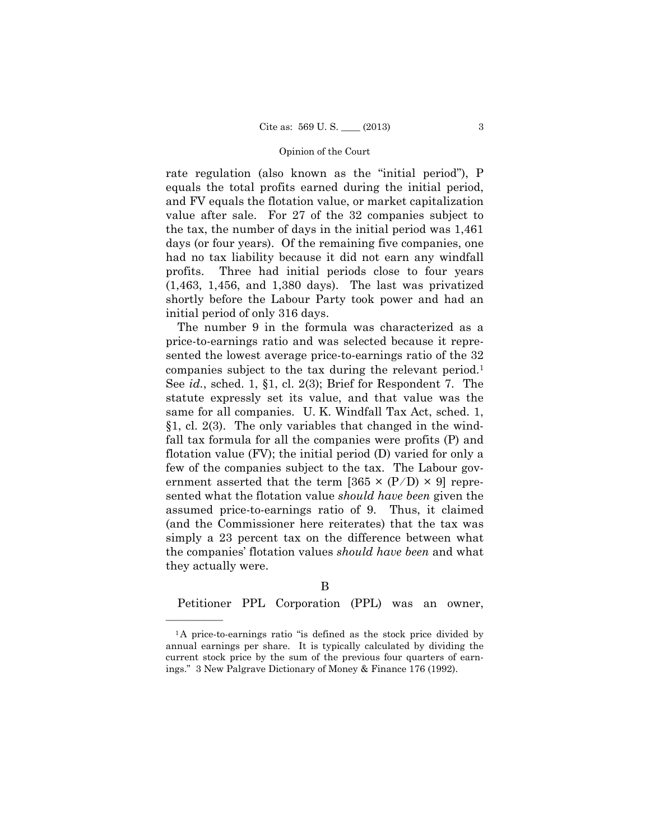rate regulation (also known as the "initial period"), P equals the total profits earned during the initial period, and FV equals the flotation value, or market capitalization value after sale. For 27 of the 32 companies subject to the tax, the number of days in the initial period was 1,461 days (or four years). Of the remaining five companies, one had no tax liability because it did not earn any windfall profits. Three had initial periods close to four years (1,463, 1,456, and 1,380 days). The last was privatized shortly before the Labour Party took power and had an initial period of only 316 days.

ernment asserted that the term  $[365 \times (P/D) \times 9]$  repre The number 9 in the formula was characterized as a price-to-earnings ratio and was selected because it represented the lowest average price-to-earnings ratio of the 32 companies subject to the tax during the relevant period.1 See *id.*, sched. 1, §1, cl. 2(3); Brief for Respondent 7. The statute expressly set its value, and that value was the same for all companies. U. K. Windfall Tax Act, sched. 1, §1, cl. 2(3). The only variables that changed in the windfall tax formula for all the companies were profits (P) and flotation value (FV); the initial period (D) varied for only a few of the companies subject to the tax. The Labour govsented what the flotation value *should have been* given the assumed price-to-earnings ratio of 9. Thus, it claimed (and the Commissioner here reiterates) that the tax was simply a 23 percent tax on the difference between what the companies' flotation values *should have been* and what they actually were.

## B

Petitioner PPL Corporation (PPL) was an owner,

<sup>&</sup>lt;sup>1</sup>A price-to-earnings ratio "is defined as the stock price divided by annual earnings per share. It is typically calculated by dividing the current stock price by the sum of the previous four quarters of earnings." 3 New Palgrave Dictionary of Money & Finance 176 (1992).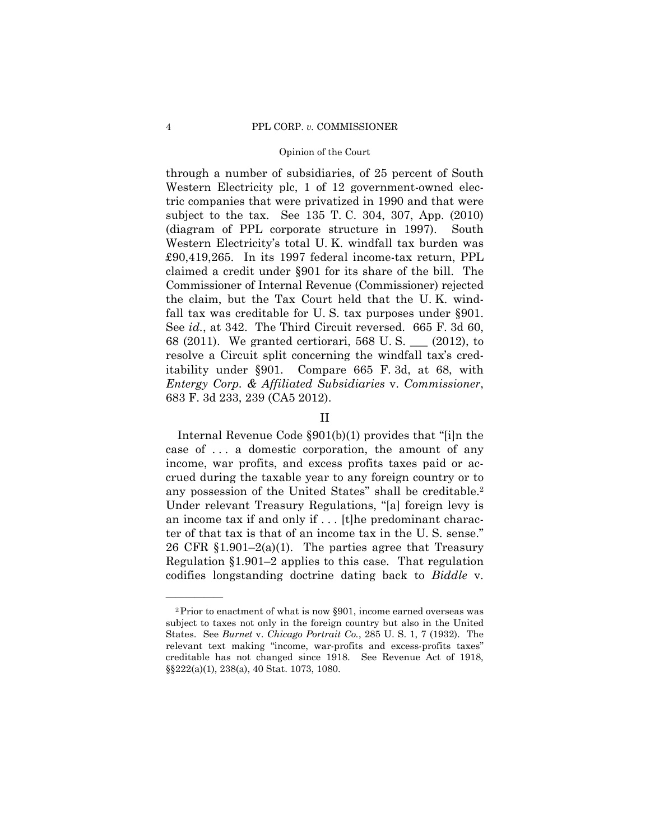through a number of subsidiaries, of 25 percent of South Western Electricity plc, 1 of 12 government-owned electric companies that were privatized in 1990 and that were subject to the tax. See 135 T. C. 304, 307, App. (2010) (diagram of PPL corporate structure in 1997). South Western Electricity's total U. K. windfall tax burden was £90,419,265. In its 1997 federal income-tax return, PPL claimed a credit under §901 for its share of the bill. The Commissioner of Internal Revenue (Commissioner) rejected the claim, but the Tax Court held that the U. K. windfall tax was creditable for U. S. tax purposes under §901. See *id.*, at 342. The Third Circuit reversed. 665 F. 3d 60, 68 (2011). We granted certiorari, 568 U. S. \_\_\_ (2012), to resolve a Circuit split concerning the windfall tax's creditability under §901. Compare 665 F. 3d, at 68, with *Entergy Corp. & Affiliated Subsidiaries* v. *Commissioner*, 683 F. 3d 233, 239 (CA5 2012).

## II

 any possession of the United States" shall be creditable.2 Internal Revenue Code §901(b)(1) provides that "[i]n the case of . . . a domestic corporation, the amount of any income, war profits, and excess profits taxes paid or accrued during the taxable year to any foreign country or to Under relevant Treasury Regulations, "[a] foreign levy is an income tax if and only if . . . [t]he predominant character of that tax is that of an income tax in the U. S. sense." 26 CFR  $$1.901-2(a)(1)$ . The parties agree that Treasury Regulation §1.901–2 applies to this case. That regulation codifies longstanding doctrine dating back to *Biddle* v.

<sup>2</sup>Prior to enactment of what is now §901, income earned overseas was subject to taxes not only in the foreign country but also in the United States. See *Burnet* v. *Chicago Portrait Co.*, 285 U. S. 1, 7 (1932). The relevant text making "income, war-profits and excess-profits taxes" creditable has not changed since 1918. See Revenue Act of 1918, §§222(a)(1), 238(a), 40 Stat. 1073, 1080.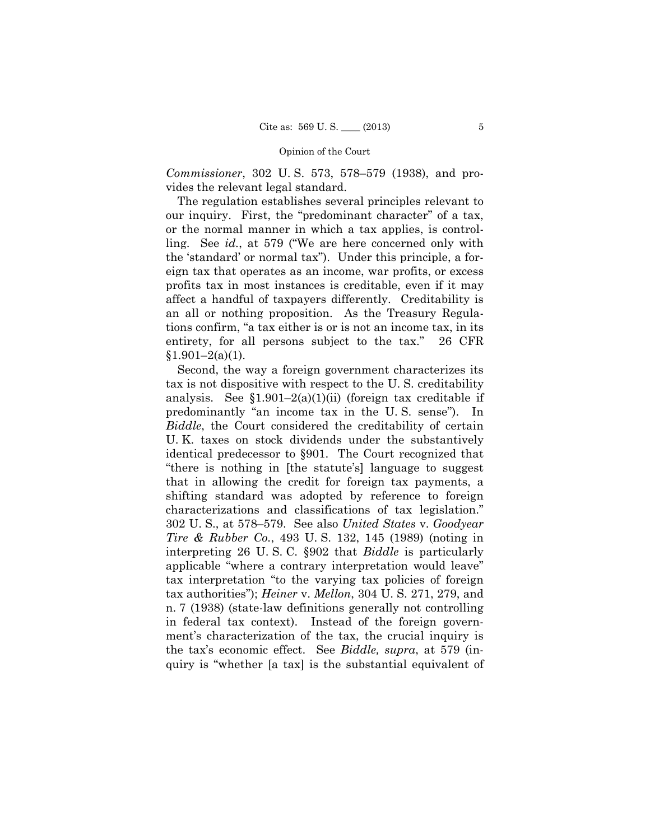*Commissioner*, 302 U. S. 573, 578–579 (1938), and provides the relevant legal standard.

The regulation establishes several principles relevant to our inquiry. First, the "predominant character" of a tax, or the normal manner in which a tax applies, is controlling. See *id.*, at 579 ("We are here concerned only with the 'standard' or normal tax"). Under this principle, a foreign tax that operates as an income, war profits, or excess profits tax in most instances is creditable, even if it may affect a handful of taxpayers differently. Creditability is an all or nothing proposition. As the Treasury Regulations confirm, "a tax either is or is not an income tax, in its entirety, for all persons subject to the tax." 26 CFR  $§1.901-2(a)(1).$ 

Second, the way a foreign government characterizes its tax is not dispositive with respect to the U. S. creditability analysis. See  $$1.901-2(a)(1)(ii)$  (foreign tax creditable if predominantly "an income tax in the U. S. sense"). In *Biddle*, the Court considered the creditability of certain U. K. taxes on stock dividends under the substantively identical predecessor to §901. The Court recognized that "there is nothing in [the statute's] language to suggest that in allowing the credit for foreign tax payments, a shifting standard was adopted by reference to foreign characterizations and classifications of tax legislation." 302 U. S., at 578–579. See also *United States* v. *Goodyear Tire & Rubber Co.*, 493 U. S. 132, 145 (1989) (noting in interpreting 26 U. S. C. §902 that *Biddle* is particularly applicable "where a contrary interpretation would leave" tax interpretation "to the varying tax policies of foreign tax authorities"); *Heiner* v. *Mellon*, 304 U. S. 271, 279, and n. 7 (1938) (state-law definitions generally not controlling in federal tax context). Instead of the foreign government's characterization of the tax, the crucial inquiry is the tax's economic effect. See *Biddle, supra*, at 579 (inquiry is "whether [a tax] is the substantial equivalent of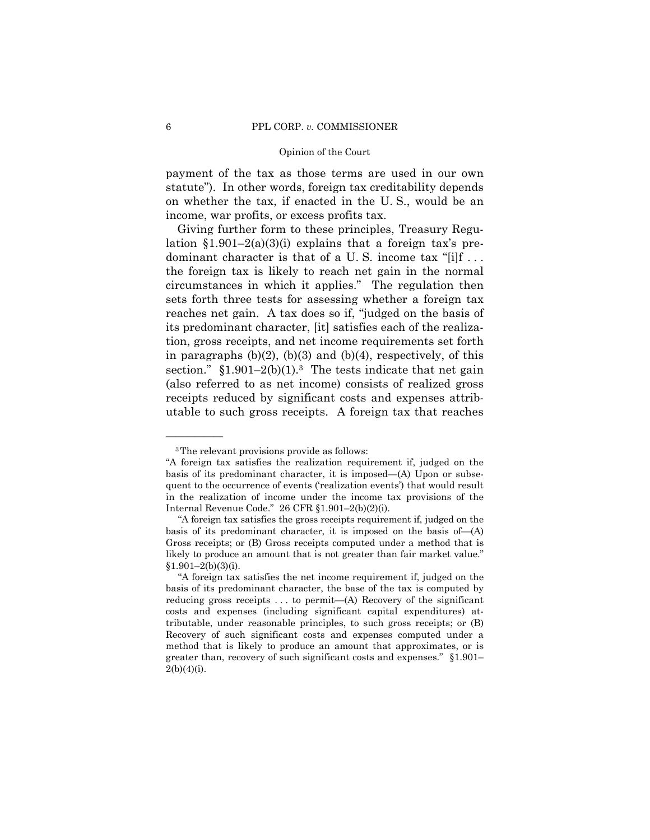payment of the tax as those terms are used in our own statute"). In other words, foreign tax creditability depends on whether the tax, if enacted in the U. S., would be an income, war profits, or excess profits tax.

Giving further form to these principles, Treasury Regulation  $$1.901-2(a)(3)(i)$  explains that a foreign tax's predominant character is that of a U.S. income tax "[i]f ... the foreign tax is likely to reach net gain in the normal circumstances in which it applies." The regulation then sets forth three tests for assessing whether a foreign tax reaches net gain. A tax does so if, "judged on the basis of its predominant character, [it] satisfies each of the realization, gross receipts, and net income requirements set forth in paragraphs  $(b)(2)$ ,  $(b)(3)$  and  $(b)(4)$ , respectively, of this section."  $$1.901-2(b)(1).$ <sup>3</sup> The tests indicate that net gain (also referred to as net income) consists of realized gross receipts reduced by significant costs and expenses attributable to such gross receipts. A foreign tax that reaches

<sup>3</sup>The relevant provisions provide as follows:

<sup>&</sup>quot;A foreign tax satisfies the realization requirement if, judged on the basis of its predominant character, it is imposed—(A) Upon or subsequent to the occurrence of events ('realization events') that would result in the realization of income under the income tax provisions of the Internal Revenue Code." 26 CFR §1.901–2(b)(2)(i).

 basis of its predominant character, it is imposed on the basis of—(A) likely to produce an amount that is not greater than fair market value." "A foreign tax satisfies the gross receipts requirement if, judged on the Gross receipts; or (B) Gross receipts computed under a method that is  $$1.901-2(b)(3)(i).$ 

 method that is likely to produce an amount that approximates, or is "A foreign tax satisfies the net income requirement if, judged on the basis of its predominant character, the base of the tax is computed by reducing gross receipts . . . to permit—(A) Recovery of the significant costs and expenses (including significant capital expenditures) attributable, under reasonable principles, to such gross receipts; or (B) Recovery of such significant costs and expenses computed under a greater than, recovery of such significant costs and expenses." §1.901–  $2(b)(4)(i)$ .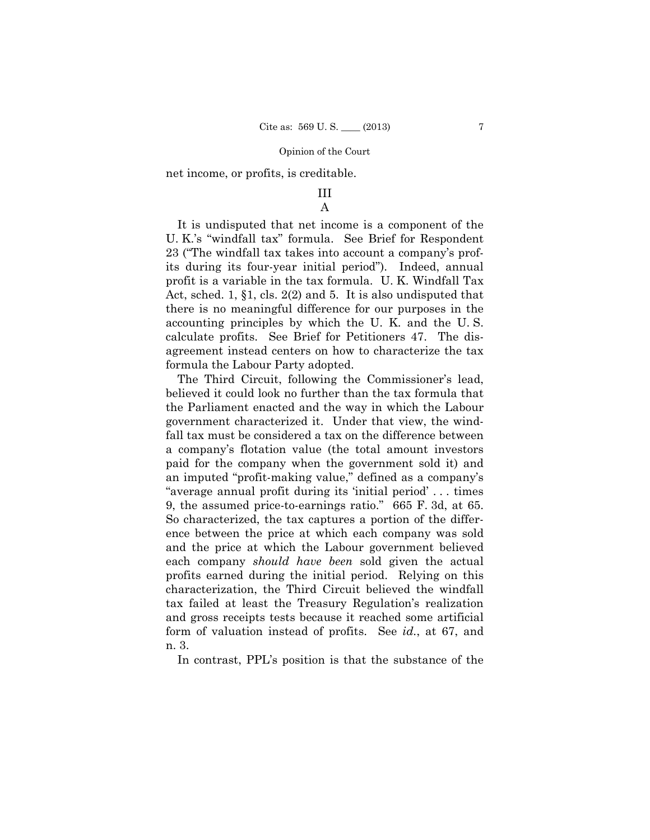net income, or profits, is creditable.

# III

## A

It is undisputed that net income is a component of the U. K.'s "windfall tax" formula. See Brief for Respondent 23 ("The windfall tax takes into account a company's profits during its four-year initial period"). Indeed, annual profit is a variable in the tax formula. U. K. Windfall Tax Act, sched. 1, §1, cls. 2(2) and 5. It is also undisputed that there is no meaningful difference for our purposes in the accounting principles by which the U. K. and the U. S. calculate profits. See Brief for Petitioners 47. The disagreement instead centers on how to characterize the tax formula the Labour Party adopted.

The Third Circuit, following the Commissioner's lead, believed it could look no further than the tax formula that the Parliament enacted and the way in which the Labour government characterized it. Under that view, the windfall tax must be considered a tax on the difference between a company's flotation value (the total amount investors paid for the company when the government sold it) and an imputed "profit-making value," defined as a company's "average annual profit during its 'initial period' . . . times 9, the assumed price-to-earnings ratio." 665 F. 3d, at 65. So characterized, the tax captures a portion of the difference between the price at which each company was sold and the price at which the Labour government believed each company *should have been* sold given the actual profits earned during the initial period. Relying on this characterization, the Third Circuit believed the windfall tax failed at least the Treasury Regulation's realization and gross receipts tests because it reached some artificial form of valuation instead of profits. See *id.*, at 67, and n. 3.

In contrast, PPL's position is that the substance of the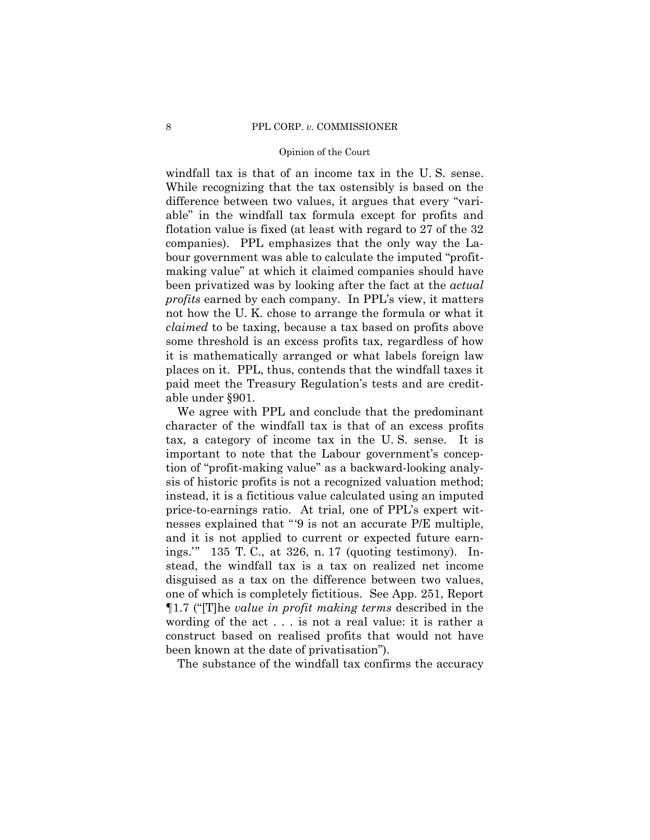windfall tax is that of an income tax in the U. S. sense. While recognizing that the tax ostensibly is based on the difference between two values, it argues that every "variable" in the windfall tax formula except for profits and flotation value is fixed (at least with regard to 27 of the 32 companies). PPL emphasizes that the only way the Labour government was able to calculate the imputed "profitmaking value" at which it claimed companies should have been privatized was by looking after the fact at the *actual profits* earned by each company. In PPL's view, it matters not how the U. K. chose to arrange the formula or what it *claimed* to be taxing, because a tax based on profits above some threshold is an excess profits tax, regardless of how it is mathematically arranged or what labels foreign law places on it. PPL, thus, contends that the windfall taxes it paid meet the Treasury Regulation's tests and are creditable under §901.

We agree with PPL and conclude that the predominant character of the windfall tax is that of an excess profits tax, a category of income tax in the U. S. sense. It is important to note that the Labour government's conception of "profit-making value" as a backward-looking analysis of historic profits is not a recognized valuation method; instead, it is a fictitious value calculated using an imputed price-to-earnings ratio. At trial, one of PPL's expert witnesses explained that "'9 is not an accurate P/E multiple, and it is not applied to current or expected future earnings.'" 135 T. C., at 326, n. 17 (quoting testimony). Instead, the windfall tax is a tax on realized net income disguised as a tax on the difference between two values, one of which is completely fictitious. See App. 251, Report ¶1.7 ("[T]he *value in profit making terms* described in the wording of the act . . . is not a real value: it is rather a construct based on realised profits that would not have been known at the date of privatisation").

The substance of the windfall tax confirms the accuracy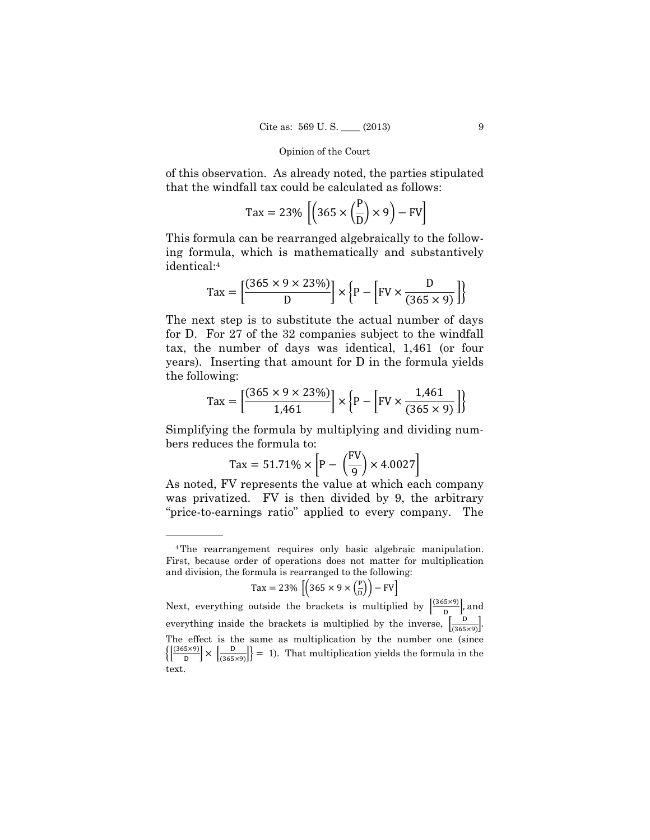of this observation. As already noted, the parties stipulated that the windfall tax could be calculated as follows:

$$
\text{Tax} = 23\% \left[ \left( 365 \times \left( \frac{P}{D} \right) \times 9 \right) - \text{FV} \right]
$$

This formula can be rearranged algebraically to the following formula, which is mathematically and substantively identical:4

$$
\text{Tax} = \left[\frac{(365 \times 9 \times 23\%)}{D}\right] \times \left\{P - \left[\text{FV} \times \frac{D}{(365 \times 9)}\right]\right\}
$$

The next step is to substitute the actual number of days for D. For 27 of the 32 companies subject to the windfall tax, the number of days was identical, 1,461 (or four years). Inserting that amount for D in the formula yields the following:

$$
\text{Tax} = \left[ \frac{(365 \times 9 \times 23\%)}{1,461} \right] \times \left\{ P - \left[ \text{FV} \times \frac{1,461}{(365 \times 9)} \right] \right\}
$$

Simplifying the formula by multiplying and dividing numbers reduces the formula to:

$$
\text{Tax} = 51.71\% \times \left[ P - \left( \frac{F\text{V}}{9} \right) \times 4.0027 \right]
$$

As noted, FV represents the value at which each company was privatized. FV is then divided by 9, the arbitrary "price-to-earnings ratio" applied to every company. The

——————

$$
\text{Tax} = 23\% \left[ \left( 365 \times 9 \times \left( \frac{\text{P}}{\text{D}} \right) \right) - \text{FV} \right]
$$

 The effect is the same as multiplication by the number one (since Next, everything outside the brackets is multiplied by  $\left[\frac{(365 \times 9)}{D}\right]$ , and everything inside the brackets is multiplied by the inverse,  $\left[\frac{D}{(365 \times 9)}\right]$ .  $\left\{ \frac{(365 \times 9)}{D} \right\} \times \left\{ \frac{D}{(365 \times 9)} \right\} = 1$ . That multiplication yields the formula in the text.

<sup>4</sup>The rearrangement requires only basic algebraic manipulation. First, because order of operations does not matter for multiplication and division, the formula is rearranged to the following: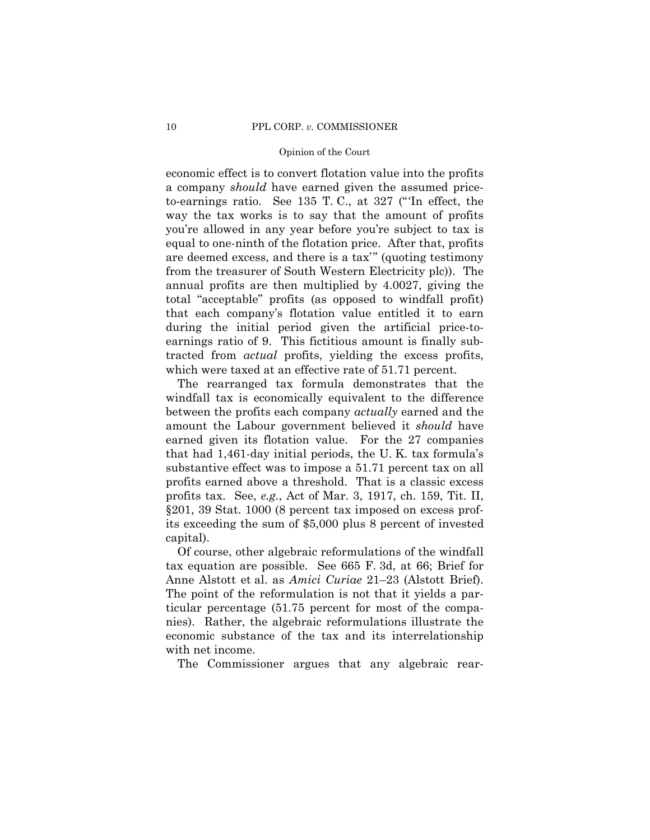economic effect is to convert flotation value into the profits a company *should* have earned given the assumed priceto-earnings ratio. See 135 T. C., at 327 ("'In effect, the way the tax works is to say that the amount of profits you're allowed in any year before you're subject to tax is equal to one-ninth of the flotation price. After that, profits are deemed excess, and there is a tax'" (quoting testimony from the treasurer of South Western Electricity plc)). The annual profits are then multiplied by 4.0027, giving the total "acceptable" profits (as opposed to windfall profit) that each company's flotation value entitled it to earn during the initial period given the artificial price-toearnings ratio of 9. This fictitious amount is finally subtracted from *actual* profits, yielding the excess profits, which were taxed at an effective rate of 51.71 percent.

The rearranged tax formula demonstrates that the windfall tax is economically equivalent to the difference between the profits each company *actually* earned and the amount the Labour government believed it *should* have earned given its flotation value. For the 27 companies that had 1,461-day initial periods, the U. K. tax formula's substantive effect was to impose a 51.71 percent tax on all profits earned above a threshold. That is a classic excess profits tax. See, *e.g.*, Act of Mar. 3, 1917, ch. 159, Tit. II, §201, 39 Stat. 1000 (8 percent tax imposed on excess profits exceeding the sum of \$5,000 plus 8 percent of invested capital).

Of course, other algebraic reformulations of the windfall tax equation are possible. See 665 F. 3d, at 66; Brief for Anne Alstott et al. as *Amici Curiae* 21–23 (Alstott Brief). The point of the reformulation is not that it yields a particular percentage (51.75 percent for most of the companies). Rather, the algebraic reformulations illustrate the economic substance of the tax and its interrelationship with net income.

The Commissioner argues that any algebraic rear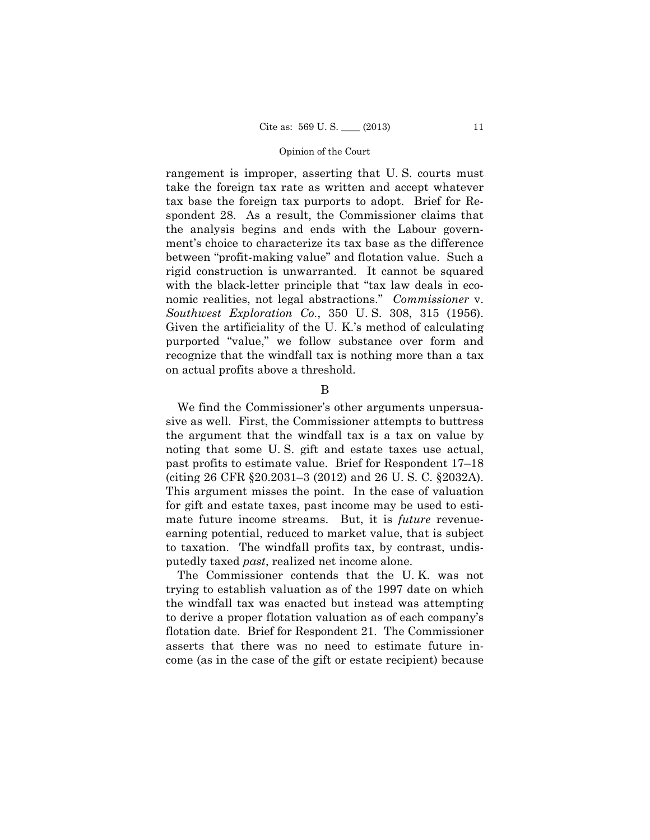rangement is improper, asserting that U. S. courts must take the foreign tax rate as written and accept whatever tax base the foreign tax purports to adopt. Brief for Respondent 28. As a result, the Commissioner claims that the analysis begins and ends with the Labour government's choice to characterize its tax base as the difference between "profit-making value" and flotation value. Such a rigid construction is unwarranted. It cannot be squared with the black-letter principle that "tax law deals in economic realities, not legal abstractions." *Commissioner* v. *Southwest Exploration Co.*, 350 U. S. 308, 315 (1956). Given the artificiality of the U. K.'s method of calculating purported "value," we follow substance over form and recognize that the windfall tax is nothing more than a tax on actual profits above a threshold.

### B

We find the Commissioner's other arguments unpersuasive as well. First, the Commissioner attempts to buttress the argument that the windfall tax is a tax on value by noting that some U. S. gift and estate taxes use actual, past profits to estimate value. Brief for Respondent 17–18 (citing 26 CFR §20.2031–3 (2012) and 26 U. S. C. §2032A). This argument misses the point. In the case of valuation for gift and estate taxes, past income may be used to estimate future income streams. But, it is *future* revenueearning potential, reduced to market value, that is subject to taxation. The windfall profits tax, by contrast, undisputedly taxed *past*, realized net income alone.

The Commissioner contends that the U. K. was not trying to establish valuation as of the 1997 date on which the windfall tax was enacted but instead was attempting to derive a proper flotation valuation as of each company's flotation date. Brief for Respondent 21. The Commissioner asserts that there was no need to estimate future income (as in the case of the gift or estate recipient) because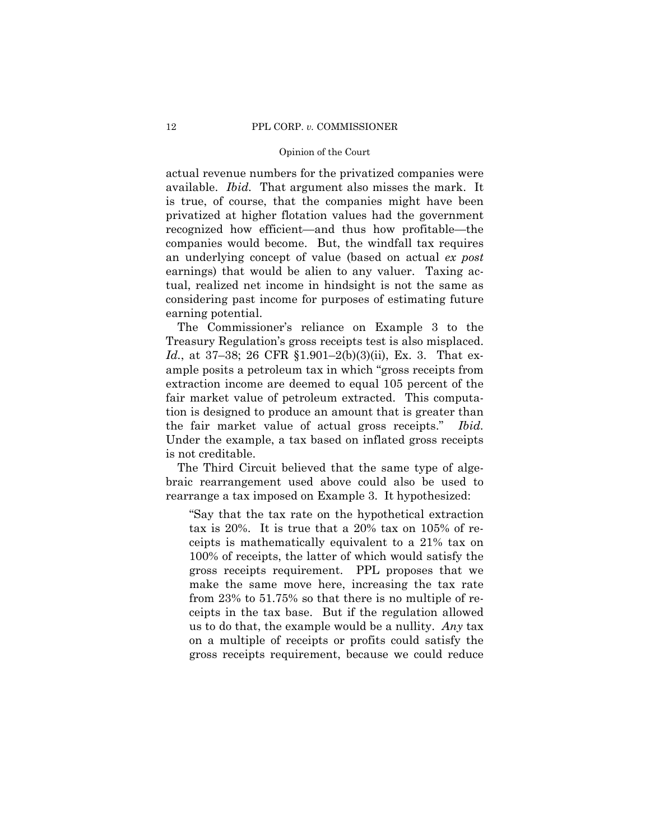actual revenue numbers for the privatized companies were available. *Ibid.* That argument also misses the mark. It is true, of course, that the companies might have been privatized at higher flotation values had the government recognized how efficient—and thus how profitable—the companies would become. But, the windfall tax requires an underlying concept of value (based on actual *ex post*  earnings) that would be alien to any valuer. Taxing actual, realized net income in hindsight is not the same as considering past income for purposes of estimating future earning potential.

The Commissioner's reliance on Example 3 to the Treasury Regulation's gross receipts test is also misplaced. *Id.*, at 37–38; 26 CFR §1.901–2(b)(3)(ii), Ex. 3. That example posits a petroleum tax in which "gross receipts from extraction income are deemed to equal 105 percent of the fair market value of petroleum extracted. This computation is designed to produce an amount that is greater than the fair market value of actual gross receipts." *Ibid.* Under the example, a tax based on inflated gross receipts is not creditable.

The Third Circuit believed that the same type of algebraic rearrangement used above could also be used to rearrange a tax imposed on Example 3. It hypothesized:

"Say that the tax rate on the hypothetical extraction tax is 20%. It is true that a 20% tax on 105% of receipts is mathematically equivalent to a 21% tax on 100% of receipts, the latter of which would satisfy the gross receipts requirement. PPL proposes that we make the same move here, increasing the tax rate from 23% to 51.75% so that there is no multiple of receipts in the tax base. But if the regulation allowed us to do that, the example would be a nullity. *Any* tax on a multiple of receipts or profits could satisfy the gross receipts requirement, because we could reduce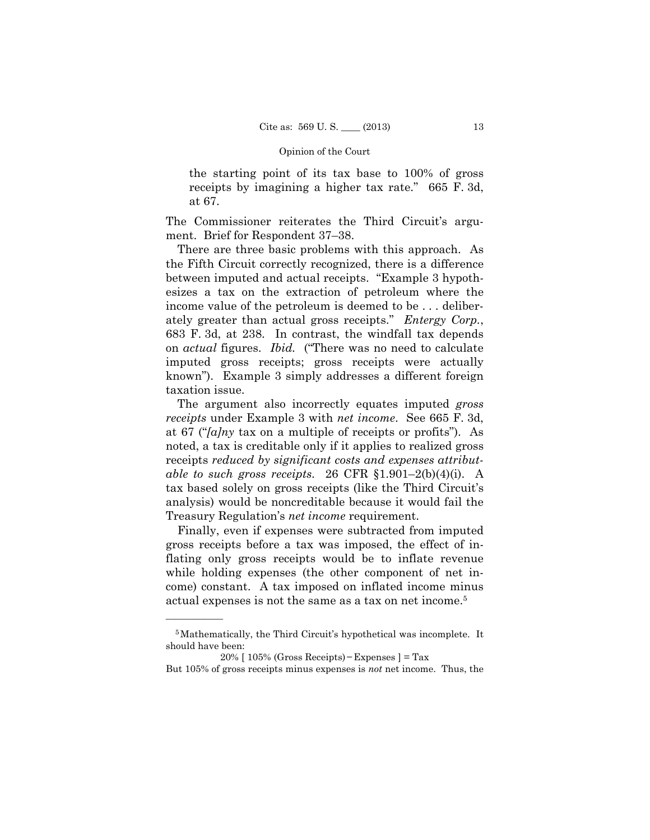the starting point of its tax base to 100% of gross receipts by imagining a higher tax rate." 665 F. 3d, at 67.

The Commissioner reiterates the Third Circuit's argument. Brief for Respondent 37–38.

There are three basic problems with this approach. As the Fifth Circuit correctly recognized, there is a difference between imputed and actual receipts. "Example 3 hypothesizes a tax on the extraction of petroleum where the income value of the petroleum is deemed to be . . . deliberately greater than actual gross receipts." *Entergy Corp.*, 683 F. 3d, at 238. In contrast, the windfall tax depends on *actual* figures. *Ibid.* ("There was no need to calculate imputed gross receipts; gross receipts were actually known"). Example 3 simply addresses a different foreign taxation issue.

The argument also incorrectly equates imputed *gross receipts* under Example 3 with *net income*. See 665 F. 3d, at 67 ("*[a]ny* tax on a multiple of receipts or profits"). As noted, a tax is creditable only if it applies to realized gross receipts *reduced by significant costs and expenses attributable to such gross receipts*. 26 CFR §1.901–2(b)(4)(i). A tax based solely on gross receipts (like the Third Circuit's analysis) would be noncreditable because it would fail the Treasury Regulation's *net income* requirement.

Finally, even if expenses were subtracted from imputed gross receipts before a tax was imposed, the effect of inflating only gross receipts would be to inflate revenue while holding expenses (the other component of net income) constant. A tax imposed on inflated income minus actual expenses is not the same as a tax on net income.5

<sup>5</sup>Mathematically, the Third Circuit's hypothetical was incomplete. It should have been:

 20% [ 105% (Gross Receipts)−Expenses ] = Tax

But 105% of gross receipts minus expenses is *not* net income. Thus, the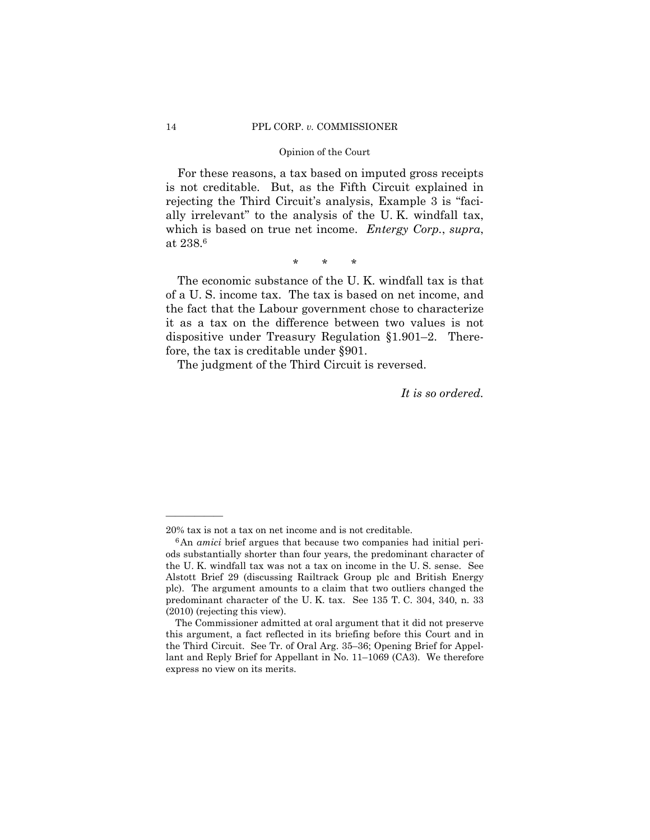For these reasons, a tax based on imputed gross receipts is not creditable. But, as the Fifth Circuit explained in rejecting the Third Circuit's analysis, Example 3 is "facially irrelevant" to the analysis of the U. K. windfall tax, which is based on true net income. *Entergy Corp.*, *supra*, at 238.6

\* \* \*

The economic substance of the U. K. windfall tax is that of a U. S. income tax. The tax is based on net income, and the fact that the Labour government chose to characterize it as a tax on the difference between two values is not dispositive under Treasury Regulation §1.901–2. Therefore, the tax is creditable under §901.

The judgment of the Third Circuit is reversed.

*It is so ordered.* 

<sup>20%</sup> tax is not a tax on net income and is not creditable.

 predominant character of the U. K. tax. See 135 T. C. 304, 340, n. 33 6An *amici* brief argues that because two companies had initial periods substantially shorter than four years, the predominant character of the U. K. windfall tax was not a tax on income in the U. S. sense. See Alstott Brief 29 (discussing Railtrack Group plc and British Energy plc). The argument amounts to a claim that two outliers changed the (2010) (rejecting this view).

The Commissioner admitted at oral argument that it did not preserve this argument, a fact reflected in its briefing before this Court and in the Third Circuit. See Tr. of Oral Arg. 35–36; Opening Brief for Appellant and Reply Brief for Appellant in No. 11–1069 (CA3). We therefore express no view on its merits.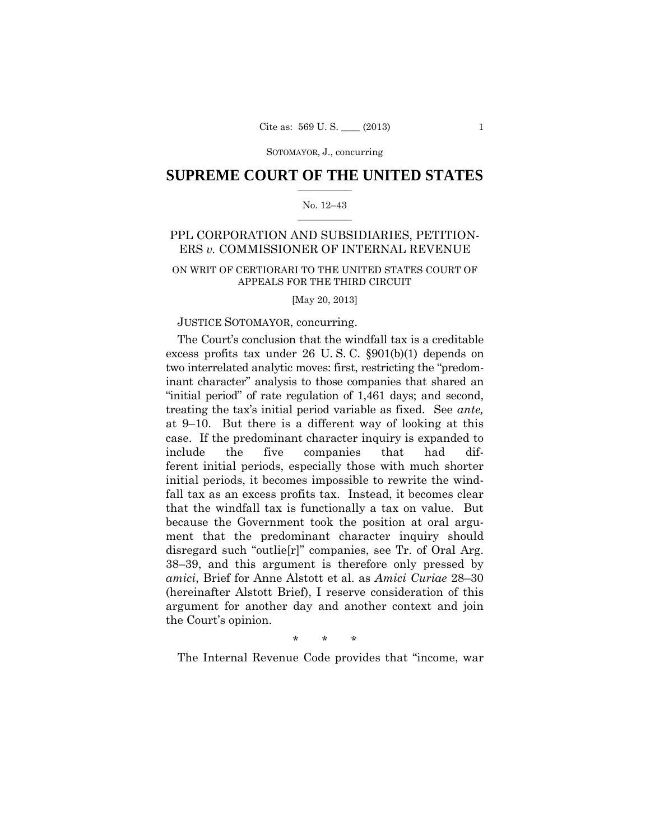## $\frac{1}{2}$  ,  $\frac{1}{2}$  ,  $\frac{1}{2}$  ,  $\frac{1}{2}$  ,  $\frac{1}{2}$  ,  $\frac{1}{2}$  ,  $\frac{1}{2}$ **SUPREME COURT OF THE UNITED STATES**

### $\frac{1}{2}$  ,  $\frac{1}{2}$  ,  $\frac{1}{2}$  ,  $\frac{1}{2}$  ,  $\frac{1}{2}$  ,  $\frac{1}{2}$ No. 12–43

## PPL CORPORATION AND SUBSIDIARIES, PETITION-ERS *v.* COMMISSIONER OF INTERNAL REVENUE

## ON WRIT OF CERTIORARI TO THE UNITED STATES COURT OF APPEALS FOR THE THIRD CIRCUIT

[May 20, 2013]

## JUSTICE SOTOMAYOR, concurring.

 excess profits tax under 26 U. S. C. §901(b)(1) depends on "initial period" of rate regulation of 1,461 days; and second, treating the tax's initial period variable as fixed. See *ante,*  The Court's conclusion that the windfall tax is a creditable two interrelated analytic moves: first, restricting the "predominant character" analysis to those companies that shared an at 9–10. But there is a different way of looking at this case. If the predominant character inquiry is expanded to include the five companies that had different initial periods, especially those with much shorter initial periods, it becomes impossible to rewrite the windfall tax as an excess profits tax. Instead, it becomes clear that the windfall tax is functionally a tax on value. But because the Government took the position at oral argument that the predominant character inquiry should disregard such "outlie[r]" companies, see Tr. of Oral Arg. 38–39, and this argument is therefore only pressed by *amici*, Brief for Anne Alstott et al. as *Amici Curiae* 28–30 (hereinafter Alstott Brief), I reserve consideration of this argument for another day and another context and join the Court's opinion.

\* \* \*

The Internal Revenue Code provides that "income, war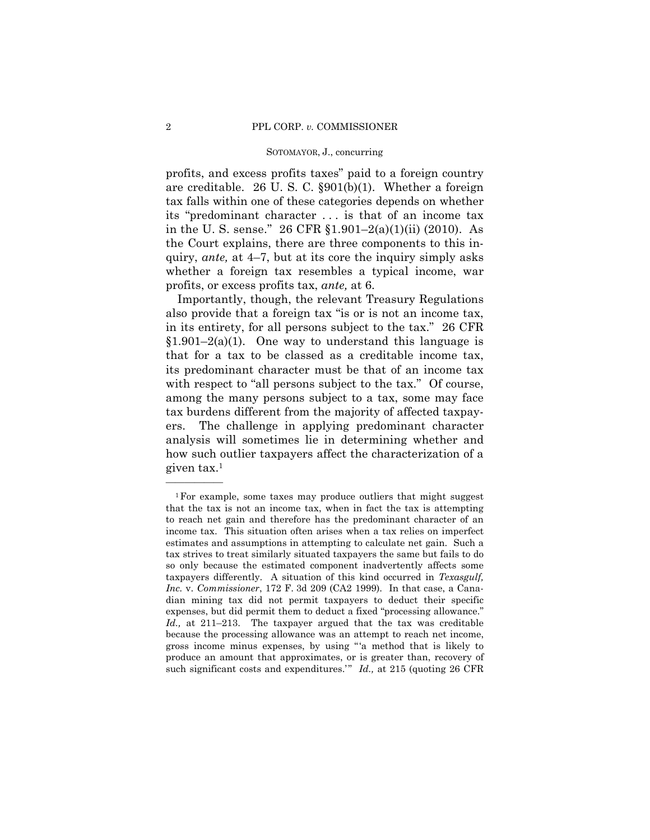profits, and excess profits taxes" paid to a foreign country are creditable. 26 U. S. C. §901(b)(1). Whether a foreign tax falls within one of these categories depends on whether its "predominant character . . . is that of an income tax in the U. S. sense." 26 CFR §1.901–2(a)(1)(ii) (2010). As the Court explains, there are three components to this inquiry, *ante,* at 4–7, but at its core the inquiry simply asks whether a foreign tax resembles a typical income, war profits, or excess profits tax, *ante,* at 6.

Importantly, though, the relevant Treasury Regulations also provide that a foreign tax "is or is not an income tax, in its entirety, for all persons subject to the tax." 26 CFR  $$1.901-2(a)(1)$ . One way to understand this language is that for a tax to be classed as a creditable income tax, its predominant character must be that of an income tax with respect to "all persons subject to the tax." Of course, among the many persons subject to a tax, some may face tax burdens different from the majority of affected taxpayers. The challenge in applying predominant character analysis will sometimes lie in determining whether and how such outlier taxpayers affect the characterization of a given tax.1

<sup>1</sup>For example, some taxes may produce outliers that might suggest that the tax is not an income tax, when in fact the tax is attempting to reach net gain and therefore has the predominant character of an income tax. This situation often arises when a tax relies on imperfect estimates and assumptions in attempting to calculate net gain. Such a tax strives to treat similarly situated taxpayers the same but fails to do so only because the estimated component inadvertently affects some taxpayers differently. A situation of this kind occurred in *Texasgulf, Inc.* v. *Commissioner*, 172 F. 3d 209 (CA2 1999). In that case, a Canadian mining tax did not permit taxpayers to deduct their specific expenses, but did permit them to deduct a fixed "processing allowance." *Id.,* at 211–213. The taxpayer argued that the tax was creditable because the processing allowance was an attempt to reach net income, gross income minus expenses, by using " 'a method that is likely to produce an amount that approximates, or is greater than, recovery of such significant costs and expenditures.'" *Id.*, at 215 (quoting 26 CFR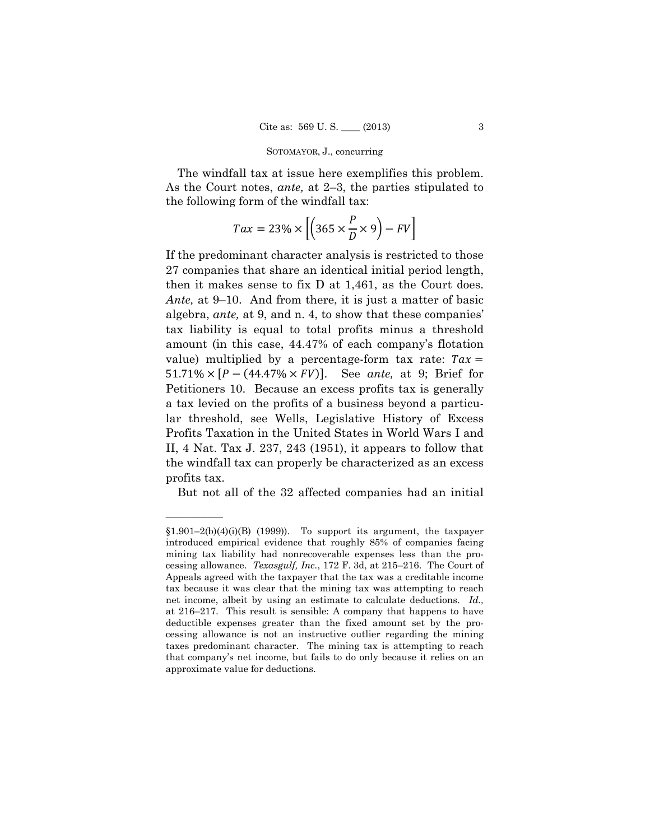The windfall tax at issue here exemplifies this problem. As the Court notes, *ante,* at 2–3, the parties stipulated to the following form of the windfall tax:

$$
Tax = 23\% \times \left[ \left( 365 \times \frac{P}{D} \times 9 \right) - FV \right]
$$

If the predominant character analysis is restricted to those 27 companies that share an identical initial period length, then it makes sense to fix D at 1,461, as the Court does. *Ante,* at 9–10. And from there, it is just a matter of basic algebra, *ante,* at 9, and n. 4, to show that these companies' tax liability is equal to total profits minus a threshold amount (in this case, 44.47% of each company's flotation value) multiplied by a percentage-form tax rate:  $Tax =$  $51.71\% \times [P - (44.47\% \times FV)].$  See ante, at 9; Brief for Petitioners 10. Because an excess profits tax is generally a tax levied on the profits of a business beyond a particular threshold, see Wells, Legislative History of Excess Profits Taxation in the United States in World Wars I and II, 4 Nat. Tax J. 237, 243 (1951), it appears to follow that the windfall tax can properly be characterized as an excess profits tax.

But not all of the 32 affected companies had an initial

 cessing allowance. *Texasgulf, Inc.*, 172 F. 3d, at 215–216. The Court of  $$1.901-2(b)(4)(i)(B)$  (1999)). To support its argument, the taxpayer introduced empirical evidence that roughly 85% of companies facing mining tax liability had nonrecoverable expenses less than the pro-Appeals agreed with the taxpayer that the tax was a creditable income tax because it was clear that the mining tax was attempting to reach net income, albeit by using an estimate to calculate deductions. *Id.,*  at 216–217. This result is sensible: A company that happens to have deductible expenses greater than the fixed amount set by the processing allowance is not an instructive outlier regarding the mining taxes predominant character. The mining tax is attempting to reach that company's net income, but fails to do only because it relies on an approximate value for deductions.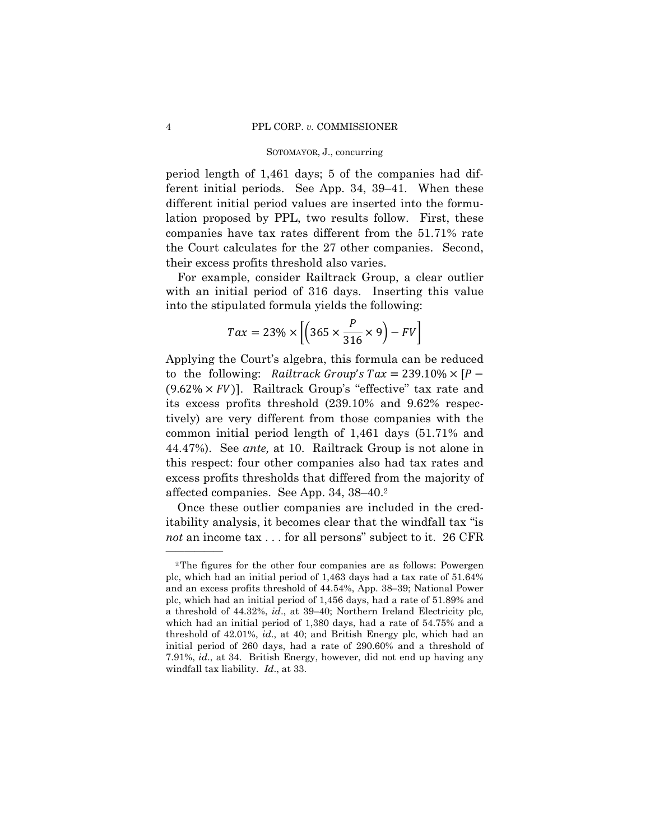period length of 1,461 days; 5 of the companies had different initial periods. See App. 34, 39–41. When these different initial period values are inserted into the formulation proposed by PPL, two results follow. First, these companies have tax rates different from the 51.71% rate the Court calculates for the 27 other companies. Second, their excess profits threshold also varies.

For example, consider Railtrack Group, a clear outlier with an initial period of 316 days. Inserting this value into the stipulated formula yields the following:

$$
Tax = 23\% \times \left[ \left( 365 \times \frac{P}{316} \times 9 \right) - FV \right]
$$

to the following: Railtrack Group's  $Tax = 239.10\% \times [P (9.62\% \times FV)$ . Railtrack Group's "effective" tax rate and tively) are very different from those companies with the Applying the Court's algebra, this formula can be reduced its excess profits threshold (239.10% and 9.62% respeccommon initial period length of 1,461 days (51.71% and 44.47%). See *ante,* at 10. Railtrack Group is not alone in this respect: four other companies also had tax rates and excess profits thresholds that differed from the majority of affected companies. See App. 34, 38–40.2

Once these outlier companies are included in the creditability analysis, it becomes clear that the windfall tax "is *not* an income tax . . . for all persons" subject to it. 26 CFR

 threshold of 42.01%, *id*., at 40; and British Energy plc, which had an 2The figures for the other four companies are as follows: Powergen plc, which had an initial period of 1,463 days had a tax rate of 51.64% and an excess profits threshold of 44.54%, App. 38–39; National Power plc, which had an initial period of 1,456 days, had a rate of 51.89% and a threshold of 44.32%, *id*., at 39–40; Northern Ireland Electricity plc, which had an initial period of 1,380 days, had a rate of 54.75% and a initial period of 260 days, had a rate of 290.60% and a threshold of 7.91%, *id*., at 34. British Energy, however, did not end up having any windfall tax liability. *Id*., at 33.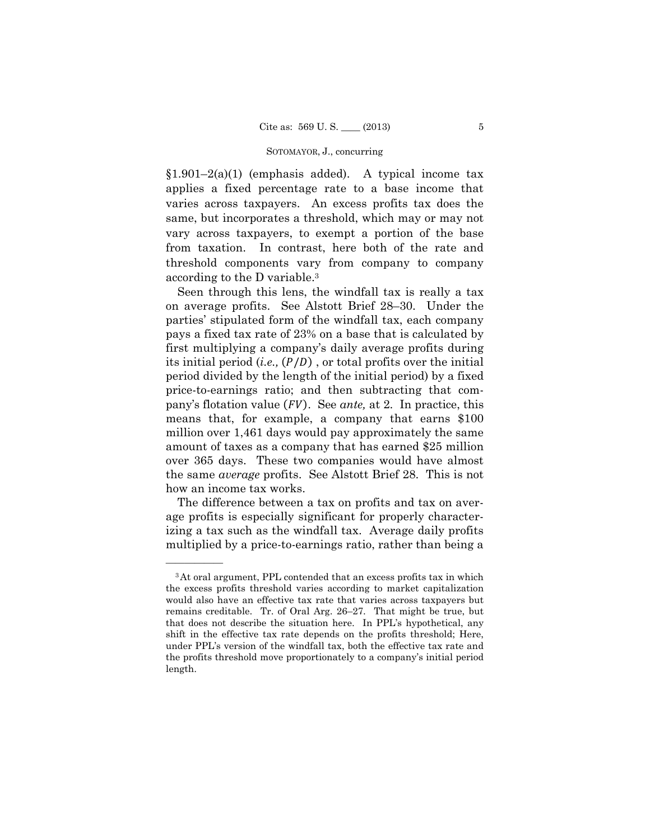$§1.901-2(a)(1)$  (emphasis added). A typical income tax applies a fixed percentage rate to a base income that varies across taxpayers. An excess profits tax does the same, but incorporates a threshold, which may or may not vary across taxpayers, to exempt a portion of the base from taxation. In contrast, here both of the rate and threshold components vary from company to company according to the D variable.3

its initial period  $(i.e., (P/D)$ , or total profits over the initial pany's flotation value (FV). See *ante*, at 2. In practice, this Seen through this lens, the windfall tax is really a tax on average profits. See Alstott Brief 28–30. Under the parties' stipulated form of the windfall tax, each company pays a fixed tax rate of 23% on a base that is calculated by first multiplying a company's daily average profits during period divided by the length of the initial period) by a fixed price-to-earnings ratio; and then subtracting that com means that, for example, a company that earns \$100 million over 1,461 days would pay approximately the same amount of taxes as a company that has earned \$25 million over 365 days. These two companies would have almost the same *average* profits. See Alstott Brief 28. This is not how an income tax works.

The difference between a tax on profits and tax on average profits is especially significant for properly characterizing a tax such as the windfall tax. Average daily profits multiplied by a price-to-earnings ratio, rather than being a

<sup>3</sup>At oral argument, PPL contended that an excess profits tax in which the excess profits threshold varies according to market capitalization would also have an effective tax rate that varies across taxpayers but remains creditable. Tr. of Oral Arg. 26–27. That might be true, but that does not describe the situation here. In PPL's hypothetical, any shift in the effective tax rate depends on the profits threshold; Here, under PPL's version of the windfall tax, both the effective tax rate and the profits threshold move proportionately to a company's initial period length.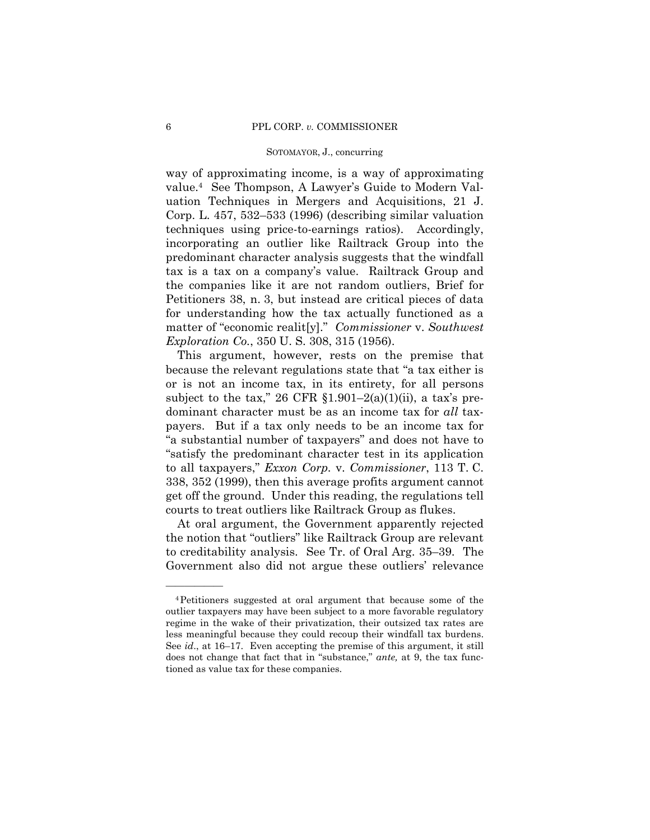way of approximating income, is a way of approximating value.4 See Thompson, A Lawyer's Guide to Modern Valuation Techniques in Mergers and Acquisitions, 21 J. Corp. L. 457, 532–533 (1996) (describing similar valuation techniques using price-to-earnings ratios). Accordingly, incorporating an outlier like Railtrack Group into the predominant character analysis suggests that the windfall tax is a tax on a company's value. Railtrack Group and the companies like it are not random outliers, Brief for Petitioners 38, n. 3, but instead are critical pieces of data for understanding how the tax actually functioned as a matter of "economic realit[y]." *Commissioner* v. *Southwest Exploration Co.*, 350 U. S. 308, 315 (1956).

This argument, however, rests on the premise that because the relevant regulations state that "a tax either is or is not an income tax, in its entirety, for all persons subject to the tax," 26 CFR  $$1.901-2(a)(1)(ii)$ , a tax's predominant character must be as an income tax for *all* taxpayers. But if a tax only needs to be an income tax for "a substantial number of taxpayers" and does not have to "satisfy the predominant character test in its application to all taxpayers," *Exxon Corp.* v. *Commissioner*, 113 T. C. 338, 352 (1999), then this average profits argument cannot get off the ground. Under this reading, the regulations tell courts to treat outliers like Railtrack Group as flukes.

At oral argument, the Government apparently rejected the notion that "outliers" like Railtrack Group are relevant to creditability analysis. See Tr. of Oral Arg. 35–39. The Government also did not argue these outliers' relevance

 less meaningful because they could recoup their windfall tax burdens. 4Petitioners suggested at oral argument that because some of the outlier taxpayers may have been subject to a more favorable regulatory regime in the wake of their privatization, their outsized tax rates are See *id*., at 16–17. Even accepting the premise of this argument, it still does not change that fact that in "substance," *ante,* at 9, the tax functioned as value tax for these companies.